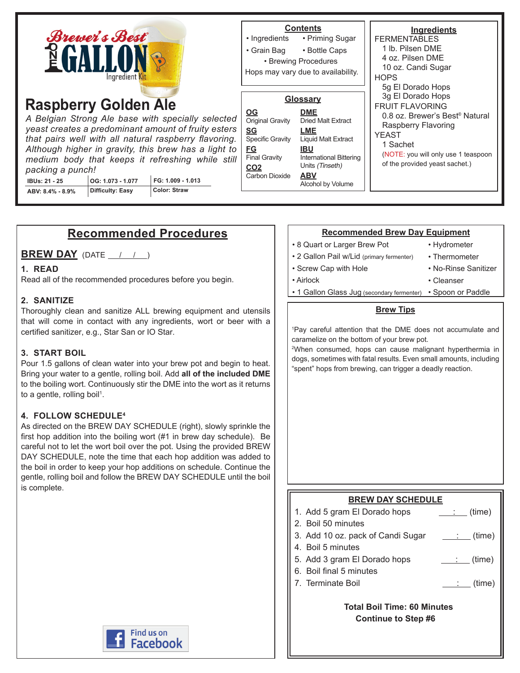| <b>Brewer's Best</b><br><b>PGALLO</b><br>Ingredient Kit                                                                                                                                                                                                                                                                                                                                                                                                                  | <b>Contents</b><br>• Ingredients<br>• Priming Sugar<br>• Bottle Caps<br>• Grain Bag<br>• Brewing Procedures<br>Hops may vary due to availability.                                                                                                                                                                                          | Ingredients<br><b>FERMENTABLES</b><br>1 lb. Pilsen DME<br>4 oz. Pilsen DME<br>10 oz. Candi Sugar<br><b>HOPS</b><br>5g El Dorado Hops                                                                           |  |
|--------------------------------------------------------------------------------------------------------------------------------------------------------------------------------------------------------------------------------------------------------------------------------------------------------------------------------------------------------------------------------------------------------------------------------------------------------------------------|--------------------------------------------------------------------------------------------------------------------------------------------------------------------------------------------------------------------------------------------------------------------------------------------------------------------------------------------|----------------------------------------------------------------------------------------------------------------------------------------------------------------------------------------------------------------|--|
| <b>Raspberry Golden Ale</b><br>A Belgian Strong Ale base with specially selected<br>yeast creates a predominant amount of fruity esters<br>that pairs well with all natural raspberry flavoring.<br>Although higher in gravity, this brew has a light to<br>medium body that keeps it refreshing while still<br>packing a punch!<br>FG: 1.009 - 1.013<br>OG: 1.073 - 1.077<br><b>IBUs: 21 - 25</b><br><b>Color: Straw</b><br><b>Difficulty: Easy</b><br>ABV: 8.4% - 8.9% | Glossary<br>$\underline{OG}$<br><b>DME</b><br>Original Gravity<br><b>Dried Malt Extract</b><br><b>SG</b><br>LME<br>Specific Gravity<br>Liquid Malt Extract<br><u>FG</u><br><b>IBU</b><br><b>Final Gravity</b><br><b>International Bittering</b><br>Units (Tinseth)<br>CO <sub>2</sub><br><b>ABV</b><br>Carbon Dioxide<br>Alcohol by Volume | 3g El Dorado Hops<br><b>FRUIT FLAVORING</b><br>0.8 oz. Brewer's Best <sup>®</sup> Natural<br>Raspberry Flavoring<br>YEAST<br>1 Sachet<br>(NOTE: you will only use 1 teaspoon<br>of the provided yeast sachet.) |  |

# **Recommended Procedures**

**BREW DAY** (DATE  $\left( \begin{array}{ccc} 1 & 1 \end{array} \right)$ 

## **1. READ**

Read all of the recommended procedures before you begin.

### **2. SANITIZE**

Thoroughly clean and sanitize ALL brewing equipment and utensils that will come in contact with any ingredients, wort or beer with a certified sanitizer, e.g., Star San or IO Star.

#### **3. START BOIL**

Pour 1.5 gallons of clean water into your brew pot and begin to heat. Bring your water to a gentle, rolling boil. Add **all of the included DME** to the boiling wort. Continuously stir the DME into the wort as it returns to a gentle, rolling boil<sup>1</sup>.

#### **4. FOLLOW SCHEDULE4**

As directed on the BREW DAY SCHEDULE (right), slowly sprinkle the first hop addition into the boiling wort (#1 in brew day schedule). Be careful not to let the wort boil over the pot. Using the provided BREW DAY SCHEDULE, note the time that each hop addition was added to the boil in order to keep your hop additions on schedule. Continue the gentle, rolling boil and follow the BREW DAY SCHEDULE until the boil is complete.

# **Find us on Facebook**

#### **Recommended Brew Day Equipment**

- 8 Quart or Larger Brew Pot
- 2 Gallon Pail w/Lid (primary fermenter)
- Hydrometer • Thermometer
- Screw Cap with Hole
	- No-Rinse Sanitizer • Cleanser
- Airlock
- 1 Gallon Glass Jug (secondary fermenter) Spoon or Paddle

#### **Brew Tips**

1 Pay careful attention that the DME does not accumulate and caramelize on the bottom of your brew pot.

2 When consumed, hops can cause malignant hyperthermia in dogs, sometimes with fatal results. Even small amounts, including "spent" hops from brewing, can trigger a deadly reaction.

#### **BREW DAY SCHEDULE**

| 1. Add 5 gram El Dorado hops | $\frac{\cdot}{\cdot}$ (time) |
|------------------------------|------------------------------|
| $\sim$ $\sim$ $\sim$ $\sim$  |                              |

- 2. Boil 50 minutes
- 3. Add 10 oz. pack of Candi Sugar  $\quad \underline{\hspace{1cm}}$  :  $\quad$  (time)
- 4. Boil 5 minutes
- 5. Add 3 gram El Dorado hops  $\qquad \qquad \qquad$  (time)
- 6. Boil final 5 minutes
- 7. Terminate Boil  $\qquad \qquad \qquad \qquad$  (time)

 **Total Boil Time: 60 Minutes Continue to Step #6**